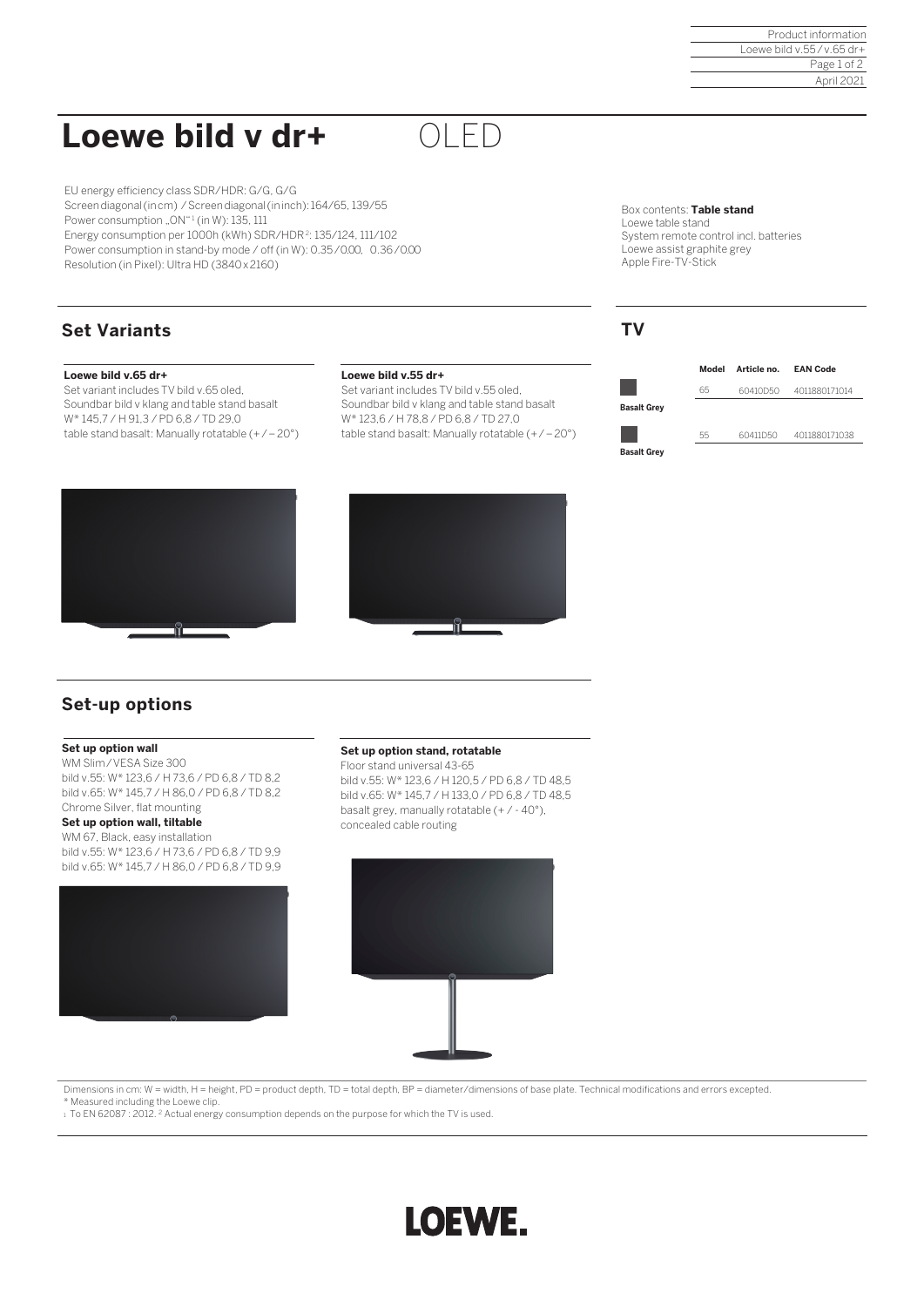Product information Loewe bild v.55 / v.65 dr+ Page 1 of 2 April 2021

# **Loewe bild v dr+**

EU energy efficiency class SDR/HDR: G/G, G/G Screen diagonal(in cm) / Screen diagonal(in inch): 164/65, 139/55 Power consumption "ON"<sup>1</sup> (in W): 135, 111 Energy consumption per 1000h (kWh) SDR/HDR<sup>2</sup>: 135/124, 111/102 Power consumption in stand-by mode / off (in W): 0.35/0.00, 0.36/0.00 Resolution (in Pixel): Ultra HD (3840 x 2160)

### **Set Variants**

### **Loewe bild v.65 dr+**

Set variant includes TV bild v.65 oled, Soundbar bild v klang and table stand basalt W\* 145,7 / H 91,3 / PD 6,8 / TD 29,0 table stand basalt: Manually rotatable (+ / – 20°)

#### **Loewe bild v.55 dr+**

Set variant includes TV bild v.55 oled, Soundbar bild v klang and table stand basalt W\* 123,6 / H 78,8 / PD 6,8 / TD 27,0 table stand basalt: Manually rotatable (+ / – 20°)

OLED

Box contents: **Table stand**  Loewe table stand System remote control incl. batteries Loewe assist graphite grey Apple Fire-TV-Stick

### **TV**







### **Set-up options**

#### **Set up option wall**

WM Slim / VESA Size 300 bild v.55: W\* 123,6 / H 73,6 / PD 6,8 / TD 8,2 bild v.65: W\* 145,7 / H 86,0 / PD 6,8 / TD 8,2 Chrome Silver, flat mounting

### **Set up option wall, tiltable**

WM 67, Black, easy installation bild v.55: W\* 123,6 / H 73,6 / PD 6,8 / TD 9,9 bild v.65: W\* 145,7 / H 86,0 / PD 6,8 / TD 9,9



#### **Set up option stand, rotatable**

Floor stand universal 43-65 bild v.55: W\* 123,6 / H 120,5 / PD 6,8 / TD 48,5 bild v.65: W\* 145,7 / H 133,0 / PD 6,8 / TD 48,5 basalt grey, manually rotatable (+ / - 40°), concealed cable routing



Dimensions in cm: W = width, H = height, PD = product depth, TD = total depth, BP = diameter/dimensions of base plate. Technical modifications and errors excepted.

\* Measured including the Loewe clip.

1 To EN 62087 : 2012. <sup>2</sup> Actual energy consumption depends on the purpose for which the TV is used.